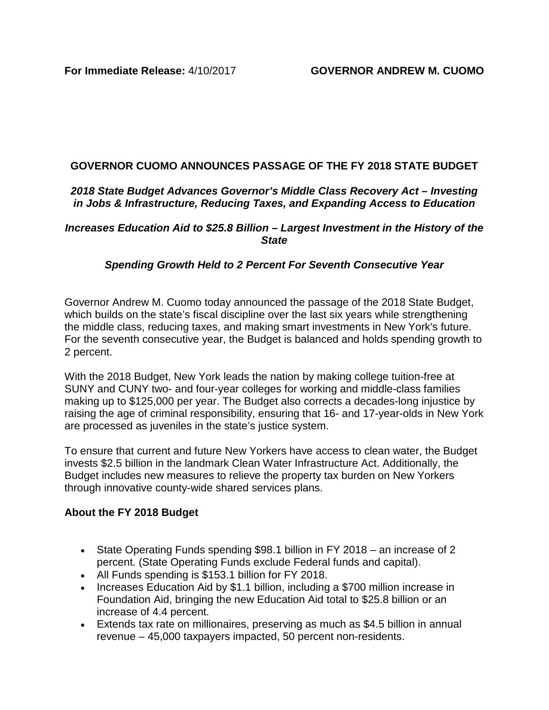## **GOVERNOR CUOMO ANNOUNCES PASSAGE OF THE FY 2018 STATE BUDGET**

## *2018 State Budget Advances Governor's Middle Class Recovery Act – Investing in Jobs & Infrastructure, Reducing Taxes, and Expanding Access to Education*

#### *Increases Education Aid to \$25.8 Billion – Largest Investment in the History of the State*

## *Spending Growth Held to 2 Percent For Seventh Consecutive Year*

Governor Andrew M. Cuomo today announced the passage of the 2018 State Budget, which builds on the state's fiscal discipline over the last six years while strengthening the middle class, reducing taxes, and making smart investments in New York's future. For the seventh consecutive year, the Budget is balanced and holds spending growth to 2 percent.

With the 2018 Budget, New York leads the nation by making college tuition-free at SUNY and CUNY two- and four-year colleges for working and middle-class families making up to \$125,000 per year. The Budget also corrects a decades-long injustice by raising the age of criminal responsibility, ensuring that 16- and 17-year-olds in New York are processed as juveniles in the state's justice system.

To ensure that current and future New Yorkers have access to clean water, the Budget invests \$2.5 billion in the landmark Clean Water Infrastructure Act. Additionally, the Budget includes new measures to relieve the property tax burden on New Yorkers through innovative county-wide shared services plans.

## **About the FY 2018 Budget**

- State Operating Funds spending \$98.1 billion in FY 2018 an increase of 2 percent. (State Operating Funds exclude Federal funds and capital).
- All Funds spending is \$153.1 billion for FY 2018.
- Increases Education Aid by \$1.1 billion, including a \$700 million increase in Foundation Aid, bringing the new Education Aid total to \$25.8 billion or an increase of 4.4 percent.
- Extends tax rate on millionaires, preserving as much as \$4.5 billion in annual revenue – 45,000 taxpayers impacted, 50 percent non-residents.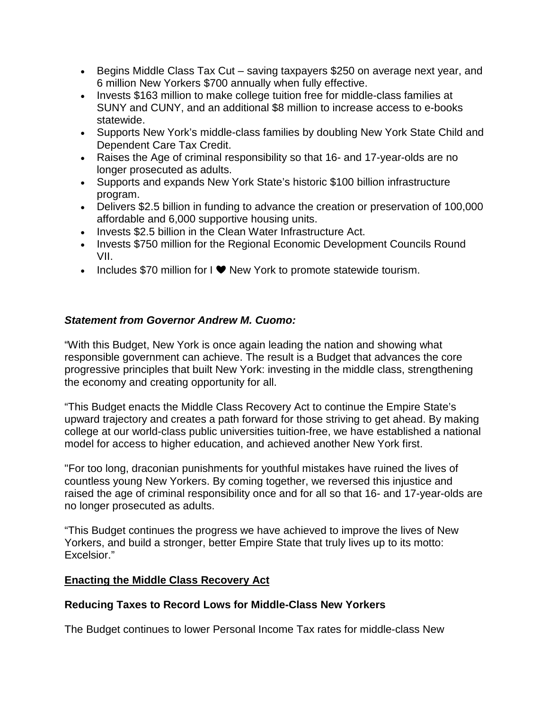- Begins Middle Class Tax Cut saving taxpayers \$250 on average next year, and 6 million New Yorkers \$700 annually when fully effective.
- Invests \$163 million to make college tuition free for middle-class families at SUNY and CUNY, and an additional \$8 million to increase access to e-books statewide.
- Supports New York's middle-class families by doubling New York State Child and Dependent Care Tax Credit.
- Raises the Age of criminal responsibility so that 16- and 17-year-olds are no longer prosecuted as adults.
- Supports and expands New York State's historic \$100 billion infrastructure program.
- Delivers \$2.5 billion in funding to advance the creation or preservation of 100,000 affordable and 6,000 supportive housing units.
- Invests \$2.5 billion in the Clean Water Infrastructure Act.
- Invests \$750 million for the Regional Economic Development Councils Round VII.
- Includes \$70 million for I  $\blacktriangledown$  New York to promote statewide tourism.

# *Statement from Governor Andrew M. Cuomo:*

"With this Budget, New York is once again leading the nation and showing what responsible government can achieve. The result is a Budget that advances the core progressive principles that built New York: investing in the middle class, strengthening the economy and creating opportunity for all.

"This Budget enacts the Middle Class Recovery Act to continue the Empire State's upward trajectory and creates a path forward for those striving to get ahead. By making college at our world-class public universities tuition-free, we have established a national model for access to higher education, and achieved another New York first.

"For too long, draconian punishments for youthful mistakes have ruined the lives of countless young New Yorkers. By coming together, we reversed this injustice and raised the age of criminal responsibility once and for all so that 16- and 17-year-olds are no longer prosecuted as adults.

"This Budget continues the progress we have achieved to improve the lives of New Yorkers, and build a stronger, better Empire State that truly lives up to its motto: Excelsior."

# **Enacting the Middle Class Recovery Act**

# **Reducing Taxes to Record Lows for Middle-Class New Yorkers**

The Budget continues to lower Personal Income Tax rates for middle-class New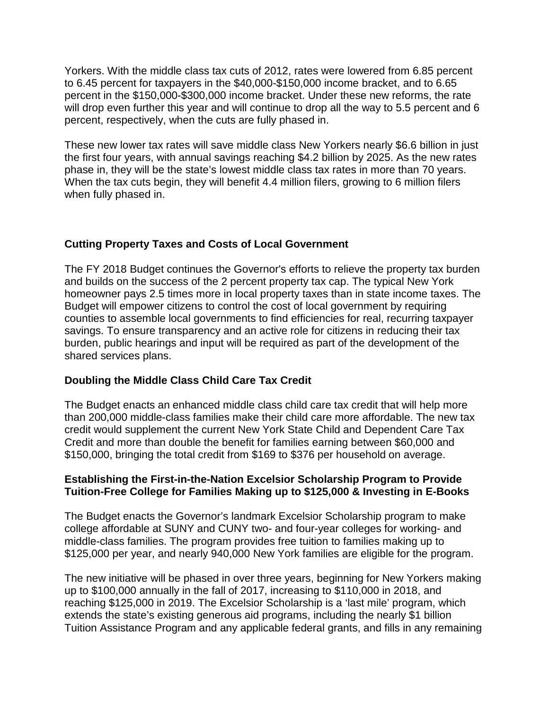Yorkers. With the middle class tax cuts of 2012, rates were lowered from 6.85 percent to 6.45 percent for taxpayers in the \$40,000-\$150,000 income bracket, and to 6.65 percent in the \$150,000-\$300,000 income bracket. Under these new reforms, the rate will drop even further this year and will continue to drop all the way to 5.5 percent and 6 percent, respectively, when the cuts are fully phased in.

These new lower tax rates will save middle class New Yorkers nearly \$6.6 billion in just the first four years, with annual savings reaching \$4.2 billion by 2025. As the new rates phase in, they will be the state's lowest middle class tax rates in more than 70 years. When the tax cuts begin, they will benefit 4.4 million filers, growing to 6 million filers when fully phased in.

## **Cutting Property Taxes and Costs of Local Government**

The FY 2018 Budget continues the Governor's efforts to relieve the property tax burden and builds on the success of the 2 percent property tax cap. The typical New York homeowner pays 2.5 times more in local property taxes than in state income taxes. The Budget will empower citizens to control the cost of local government by requiring counties to assemble local governments to find efficiencies for real, recurring taxpayer savings. To ensure transparency and an active role for citizens in reducing their tax burden, public hearings and input will be required as part of the development of the shared services plans.

## **Doubling the Middle Class Child Care Tax Credit**

The Budget enacts an enhanced middle class child care tax credit that will help more than 200,000 middle-class families make their child care more affordable. The new tax credit would supplement the current New York State Child and Dependent Care Tax Credit and more than double the benefit for families earning between \$60,000 and \$150,000, bringing the total credit from \$169 to \$376 per household on average.

## **Establishing the First-in-the-Nation Excelsior Scholarship Program to Provide Tuition-Free College for Families Making up to \$125,000 & Investing in E-Books**

The Budget enacts the Governor's landmark Excelsior Scholarship program to make college affordable at SUNY and CUNY two- and four-year colleges for working- and middle-class families. The program provides free tuition to families making up to \$125,000 per year, and nearly 940,000 New York families are eligible for the program.

The new initiative will be phased in over three years, beginning for New Yorkers making up to \$100,000 annually in the fall of 2017, increasing to \$110,000 in 2018, and reaching \$125,000 in 2019. The Excelsior Scholarship is a 'last mile' program, which extends the state's existing generous aid programs, including the nearly \$1 billion Tuition Assistance Program and any applicable federal grants, and fills in any remaining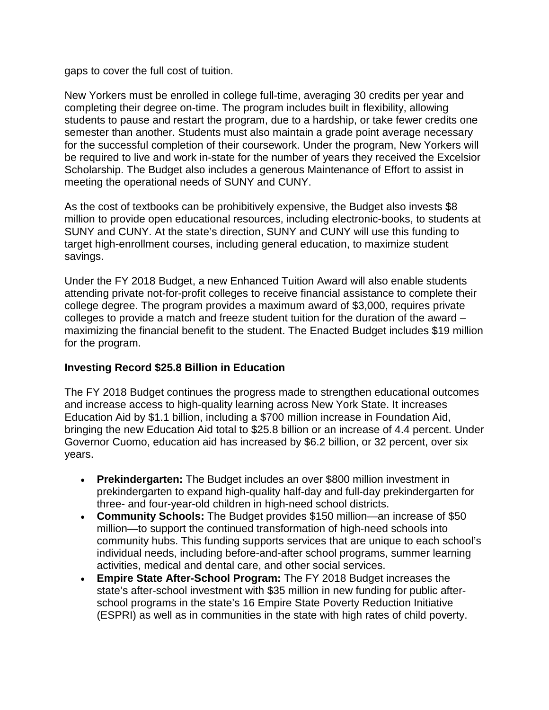gaps to cover the full cost of tuition.

New Yorkers must be enrolled in college full-time, averaging 30 credits per year and completing their degree on-time. The program includes built in flexibility, allowing students to pause and restart the program, due to a hardship, or take fewer credits one semester than another. Students must also maintain a grade point average necessary for the successful completion of their coursework. Under the program, New Yorkers will be required to live and work in-state for the number of years they received the Excelsior Scholarship. The Budget also includes a generous Maintenance of Effort to assist in meeting the operational needs of SUNY and CUNY.

As the cost of textbooks can be prohibitively expensive, the Budget also invests \$8 million to provide open educational resources, including electronic-books, to students at SUNY and CUNY. At the state's direction, SUNY and CUNY will use this funding to target high-enrollment courses, including general education, to maximize student savings.

Under the FY 2018 Budget, a new Enhanced Tuition Award will also enable students attending private not-for-profit colleges to receive financial assistance to complete their college degree. The program provides a maximum award of \$3,000, requires private colleges to provide a match and freeze student tuition for the duration of the award – maximizing the financial benefit to the student. The Enacted Budget includes \$19 million for the program.

## **Investing Record \$25.8 Billion in Education**

The FY 2018 Budget continues the progress made to strengthen educational outcomes and increase access to high-quality learning across New York State. It increases Education Aid by \$1.1 billion, including a \$700 million increase in Foundation Aid, bringing the new Education Aid total to \$25.8 billion or an increase of 4.4 percent. Under Governor Cuomo, education aid has increased by \$6.2 billion, or 32 percent, over six years.

- **Prekindergarten:** The Budget includes an over \$800 million investment in prekindergarten to expand high-quality half-day and full-day prekindergarten for three- and four-year-old children in high-need school districts.
- **Community Schools:** The Budget provides \$150 million—an increase of \$50 million—to support the continued transformation of high-need schools into community hubs. This funding supports services that are unique to each school's individual needs, including before-and-after school programs, summer learning activities, medical and dental care, and other social services.
- **Empire State After-School Program:** The FY 2018 Budget increases the state's after-school investment with \$35 million in new funding for public afterschool programs in the state's 16 Empire State Poverty Reduction Initiative (ESPRI) as well as in communities in the state with high rates of child poverty.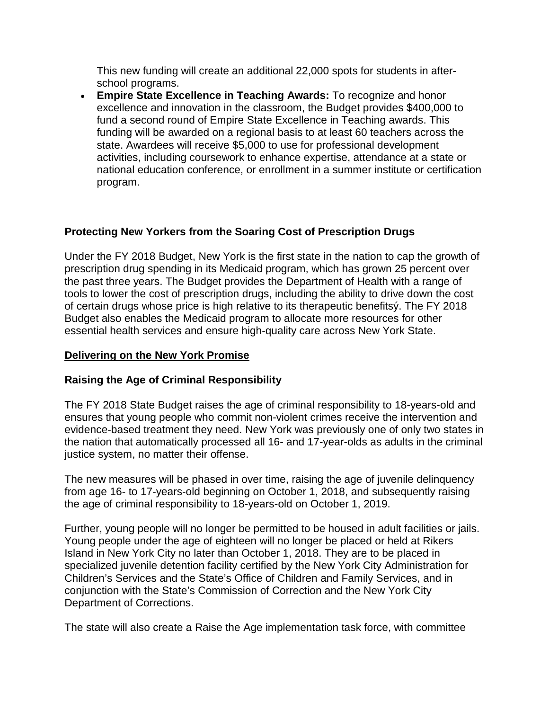This new funding will create an additional 22,000 spots for students in afterschool programs.

• **Empire State Excellence in Teaching Awards:** To recognize and honor excellence and innovation in the classroom, the Budget provides \$400,000 to fund a second round of Empire State Excellence in Teaching awards. This funding will be awarded on a regional basis to at least 60 teachers across the state. Awardees will receive \$5,000 to use for professional development activities, including coursework to enhance expertise, attendance at a state or national education conference, or enrollment in a summer institute or certification program.

# **Protecting New Yorkers from the Soaring Cost of Prescription Drugs**

Under the FY 2018 Budget, New York is the first state in the nation to cap the growth of prescription drug spending in its Medicaid program, which has grown 25 percent over the past three years. The Budget provides the Department of Health with a range of tools to lower the cost of prescription drugs, including the ability to drive down the cost of certain drugs whose price is high relative to its therapeutic benefitsý. The FY 2018 Budget also enables the Medicaid program to allocate more resources for other essential health services and ensure high-quality care across New York State.

# **Delivering on the New York Promise**

## **Raising the Age of Criminal Responsibility**

The FY 2018 State Budget raises the age of criminal responsibility to 18-years-old and ensures that young people who commit non-violent crimes receive the intervention and evidence-based treatment they need. New York was previously one of only two states in the nation that automatically processed all 16- and 17-year-olds as adults in the criminal justice system, no matter their offense.

The new measures will be phased in over time, raising the age of juvenile delinquency from age 16- to 17-years-old beginning on October 1, 2018, and subsequently raising the age of criminal responsibility to 18-years-old on October 1, 2019.

Further, young people will no longer be permitted to be housed in adult facilities or jails. Young people under the age of eighteen will no longer be placed or held at Rikers Island in New York City no later than October 1, 2018. They are to be placed in specialized juvenile detention facility certified by the New York City Administration for Children's Services and the State's Office of Children and Family Services, and in conjunction with the State's Commission of Correction and the New York City Department of Corrections.

The state will also create a Raise the Age implementation task force, with committee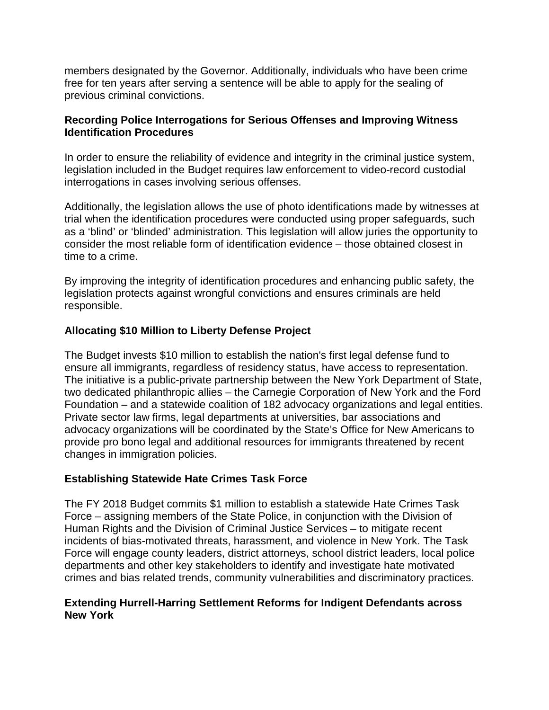members designated by the Governor. Additionally, individuals who have been crime free for ten years after serving a sentence will be able to apply for the sealing of previous criminal convictions.

## **Recording Police Interrogations for Serious Offenses and Improving Witness Identification Procedures**

In order to ensure the reliability of evidence and integrity in the criminal justice system, legislation included in the Budget requires law enforcement to video-record custodial interrogations in cases involving serious offenses.

Additionally, the legislation allows the use of photo identifications made by witnesses at trial when the identification procedures were conducted using proper safeguards, such as a 'blind' or 'blinded' administration. This legislation will allow juries the opportunity to consider the most reliable form of identification evidence – those obtained closest in time to a crime.

By improving the integrity of identification procedures and enhancing public safety, the legislation protects against wrongful convictions and ensures criminals are held responsible.

# **Allocating \$10 Million to Liberty Defense Project**

The Budget invests \$10 million to establish the nation's first legal defense fund to ensure all immigrants, regardless of residency status, have access to representation. The initiative is a public-private partnership between the New York Department of State, two dedicated philanthropic allies – the Carnegie Corporation of New York and the Ford Foundation – and a statewide coalition of 182 advocacy organizations and legal entities. Private sector law firms, legal departments at universities, bar associations and advocacy organizations will be coordinated by the State's Office for New Americans to provide pro bono legal and additional resources for immigrants threatened by recent changes in immigration policies.

## **Establishing Statewide Hate Crimes Task Force**

The FY 2018 Budget commits \$1 million to establish a statewide Hate Crimes Task Force – assigning members of the State Police, in conjunction with the Division of Human Rights and the Division of Criminal Justice Services – to mitigate recent incidents of bias-motivated threats, harassment, and violence in New York. The Task Force will engage county leaders, district attorneys, school district leaders, local police departments and other key stakeholders to identify and investigate hate motivated crimes and bias related trends, community vulnerabilities and discriminatory practices.

## **Extending Hurrell-Harring Settlement Reforms for Indigent Defendants across New York**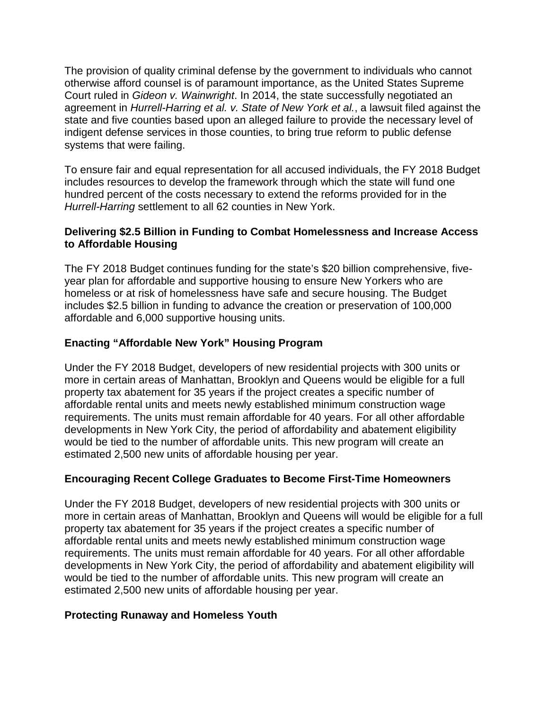The provision of quality criminal defense by the government to individuals who cannot otherwise afford counsel is of paramount importance, as the United States Supreme Court ruled in *Gideon v. Wainwright*. In 2014, the state successfully negotiated an agreement in *Hurrell-Harring et al. v. State of New York et al.*, a lawsuit filed against the state and five counties based upon an alleged failure to provide the necessary level of indigent defense services in those counties, to bring true reform to public defense systems that were failing.

To ensure fair and equal representation for all accused individuals, the FY 2018 Budget includes resources to develop the framework through which the state will fund one hundred percent of the costs necessary to extend the reforms provided for in the *Hurrell-Harring* settlement to all 62 counties in New York.

## **Delivering \$2.5 Billion in Funding to Combat Homelessness and Increase Access to Affordable Housing**

The FY 2018 Budget continues funding for the state's \$20 billion comprehensive, fiveyear plan for affordable and supportive housing to ensure New Yorkers who are homeless or at risk of homelessness have safe and secure housing. The Budget includes \$2.5 billion in funding to advance the creation or preservation of 100,000 affordable and 6,000 supportive housing units.

# **Enacting "Affordable New York" Housing Program**

Under the FY 2018 Budget, developers of new residential projects with 300 units or more in certain areas of Manhattan, Brooklyn and Queens would be eligible for a full property tax abatement for 35 years if the project creates a specific number of affordable rental units and meets newly established minimum construction wage requirements. The units must remain affordable for 40 years. For all other affordable developments in New York City, the period of affordability and abatement eligibility would be tied to the number of affordable units. This new program will create an estimated 2,500 new units of affordable housing per year.

# **Encouraging Recent College Graduates to Become First-Time Homeowners**

Under the FY 2018 Budget, developers of new residential projects with 300 units or more in certain areas of Manhattan, Brooklyn and Queens will would be eligible for a full property tax abatement for 35 years if the project creates a specific number of affordable rental units and meets newly established minimum construction wage requirements. The units must remain affordable for 40 years. For all other affordable developments in New York City, the period of affordability and abatement eligibility will would be tied to the number of affordable units. This new program will create an estimated 2,500 new units of affordable housing per year.

# **Protecting Runaway and Homeless Youth**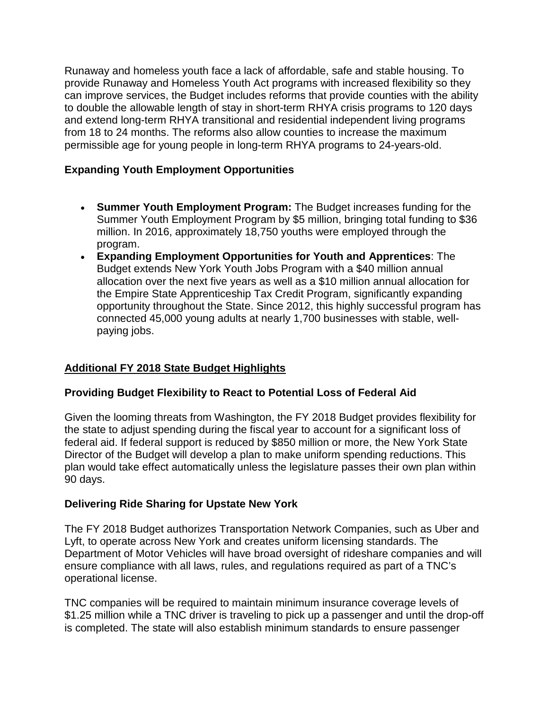Runaway and homeless youth face a lack of affordable, safe and stable housing. To provide Runaway and Homeless Youth Act programs with increased flexibility so they can improve services, the Budget includes reforms that provide counties with the ability to double the allowable length of stay in short-term RHYA crisis programs to 120 days and extend long-term RHYA transitional and residential independent living programs from 18 to 24 months. The reforms also allow counties to increase the maximum permissible age for young people in long-term RHYA programs to 24-years-old.

# **Expanding Youth Employment Opportunities**

- **Summer Youth Employment Program:** The Budget increases funding for the Summer Youth Employment Program by \$5 million, bringing total funding to \$36 million. In 2016, approximately 18,750 youths were employed through the program.
- **Expanding Employment Opportunities for Youth and Apprentices**: The Budget extends New York Youth Jobs Program with a \$40 million annual allocation over the next five years as well as a \$10 million annual allocation for the Empire State Apprenticeship Tax Credit Program, significantly expanding opportunity throughout the State. Since 2012, this highly successful program has connected 45,000 young adults at nearly 1,700 businesses with stable, wellpaying jobs.

# **Additional FY 2018 State Budget Highlights**

# **Providing Budget Flexibility to React to Potential Loss of Federal Aid**

Given the looming threats from Washington, the FY 2018 Budget provides flexibility for the state to adjust spending during the fiscal year to account for a significant loss of federal aid. If federal support is reduced by \$850 million or more, the New York State Director of the Budget will develop a plan to make uniform spending reductions. This plan would take effect automatically unless the legislature passes their own plan within 90 days.

## **Delivering Ride Sharing for Upstate New York**

The FY 2018 Budget authorizes Transportation Network Companies, such as Uber and Lyft, to operate across New York and creates uniform licensing standards. The Department of Motor Vehicles will have broad oversight of rideshare companies and will ensure compliance with all laws, rules, and regulations required as part of a TNC's operational license.

TNC companies will be required to maintain minimum insurance coverage levels of \$1.25 million while a TNC driver is traveling to pick up a passenger and until the drop-off is completed. The state will also establish minimum standards to ensure passenger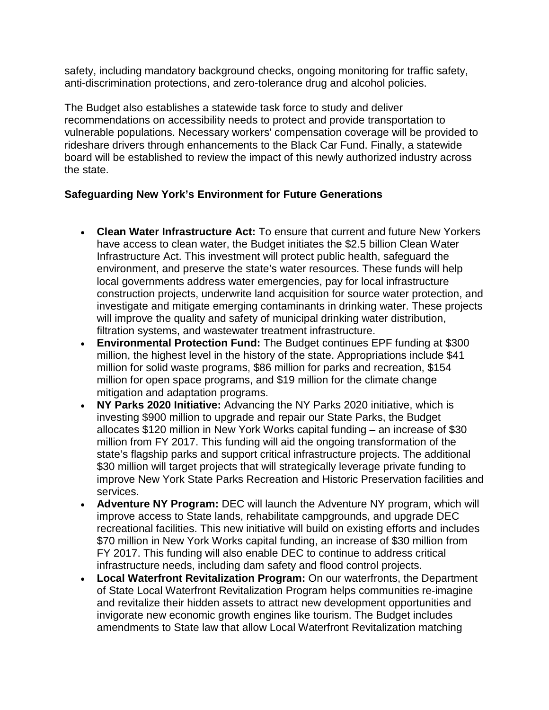safety, including mandatory background checks, ongoing monitoring for traffic safety, anti-discrimination protections, and zero-tolerance drug and alcohol policies.

The Budget also establishes a statewide task force to study and deliver recommendations on accessibility needs to protect and provide transportation to vulnerable populations. Necessary workers' compensation coverage will be provided to rideshare drivers through enhancements to the Black Car Fund. Finally, a statewide board will be established to review the impact of this newly authorized industry across the state.

# **Safeguarding New York's Environment for Future Generations**

- **Clean Water Infrastructure Act:** To ensure that current and future New Yorkers have access to clean water, the Budget initiates the \$2.5 billion Clean Water Infrastructure Act. This investment will protect public health, safeguard the environment, and preserve the state's water resources. These funds will help local governments address water emergencies, pay for local infrastructure construction projects, underwrite land acquisition for source water protection, and investigate and mitigate emerging contaminants in drinking water. These projects will improve the quality and safety of municipal drinking water distribution, filtration systems, and wastewater treatment infrastructure.
- **Environmental Protection Fund:** The Budget continues EPF funding at \$300 million, the highest level in the history of the state. Appropriations include \$41 million for solid waste programs, \$86 million for parks and recreation, \$154 million for open space programs, and \$19 million for the climate change mitigation and adaptation programs.
- **NY Parks 2020 Initiative:** Advancing the NY Parks 2020 initiative, which is investing \$900 million to upgrade and repair our State Parks, the Budget allocates \$120 million in New York Works capital funding – an increase of \$30 million from FY 2017. This funding will aid the ongoing transformation of the state's flagship parks and support critical infrastructure projects. The additional \$30 million will target projects that will strategically leverage private funding to improve New York State Parks Recreation and Historic Preservation facilities and services.
- **Adventure NY Program:** DEC will launch the Adventure NY program, which will improve access to State lands, rehabilitate campgrounds, and upgrade DEC recreational facilities. This new initiative will build on existing efforts and includes \$70 million in New York Works capital funding, an increase of \$30 million from FY 2017. This funding will also enable DEC to continue to address critical infrastructure needs, including dam safety and flood control projects.
- **Local Waterfront Revitalization Program:** On our waterfronts, the Department of State Local Waterfront Revitalization Program helps communities re-imagine and revitalize their hidden assets to attract new development opportunities and invigorate new economic growth engines like tourism. The Budget includes amendments to State law that allow Local Waterfront Revitalization matching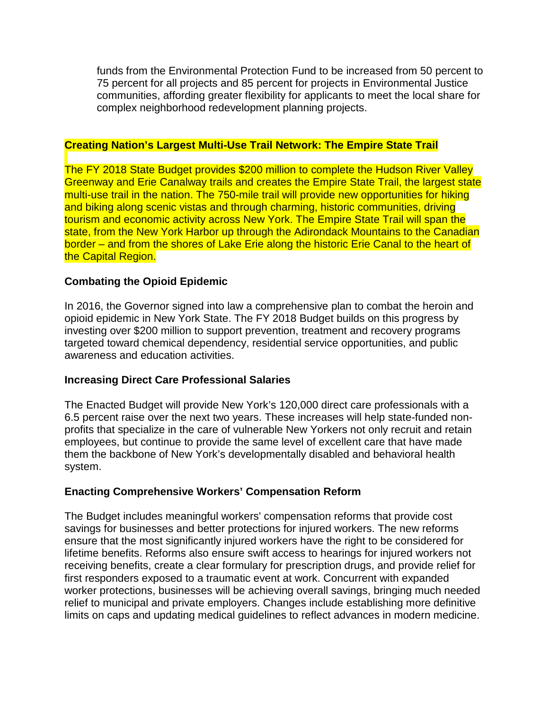funds from the Environmental Protection Fund to be increased from 50 percent to 75 percent for all projects and 85 percent for projects in Environmental Justice communities, affording greater flexibility for applicants to meet the local share for complex neighborhood redevelopment planning projects.

## **Creating Nation's Largest Multi-Use Trail Network: The Empire State Trail**

The FY 2018 State Budget provides \$200 million to complete the Hudson River Valley Greenway and Erie Canalway trails and creates the Empire State Trail, the largest state multi-use trail in the nation. The 750-mile trail will provide new opportunities for hiking and biking along scenic vistas and through charming, historic communities, driving tourism and economic activity across New York. The Empire State Trail will span the state, from the New York Harbor up through the Adirondack Mountains to the Canadian border – and from the shores of Lake Erie along the historic Erie Canal to the heart of the Capital Region.

## **Combating the Opioid Epidemic**

In 2016, the Governor signed into law a comprehensive plan to combat the heroin and opioid epidemic in New York State. The FY 2018 Budget builds on this progress by investing over \$200 million to support prevention, treatment and recovery programs targeted toward chemical dependency, residential service opportunities, and public awareness and education activities.

## **Increasing Direct Care Professional Salaries**

The Enacted Budget will provide New York's 120,000 direct care professionals with a 6.5 percent raise over the next two years. These increases will help state-funded nonprofits that specialize in the care of vulnerable New Yorkers not only recruit and retain employees, but continue to provide the same level of excellent care that have made them the backbone of New York's developmentally disabled and behavioral health system.

## **Enacting Comprehensive Workers' Compensation Reform**

The Budget includes meaningful workers' compensation reforms that provide cost savings for businesses and better protections for injured workers. The new reforms ensure that the most significantly injured workers have the right to be considered for lifetime benefits. Reforms also ensure swift access to hearings for injured workers not receiving benefits, create a clear formulary for prescription drugs, and provide relief for first responders exposed to a traumatic event at work. Concurrent with expanded worker protections, businesses will be achieving overall savings, bringing much needed relief to municipal and private employers. Changes include establishing more definitive limits on caps and updating medical guidelines to reflect advances in modern medicine.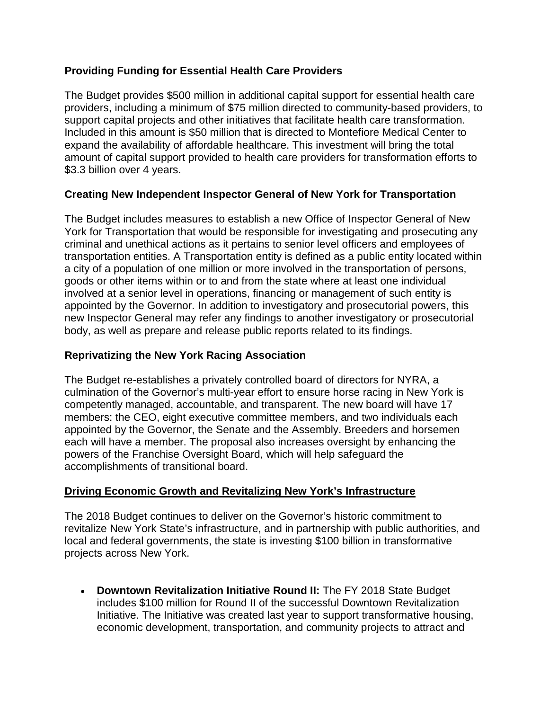# **Providing Funding for Essential Health Care Providers**

The Budget provides \$500 million in additional capital support for essential health care providers, including a minimum of \$75 million directed to community-based providers, to support capital projects and other initiatives that facilitate health care transformation. Included in this amount is \$50 million that is directed to Montefiore Medical Center to expand the availability of affordable healthcare. This investment will bring the total amount of capital support provided to health care providers for transformation efforts to \$3.3 billion over 4 years.

## **Creating New Independent Inspector General of New York for Transportation**

The Budget includes measures to establish a new Office of Inspector General of New York for Transportation that would be responsible for investigating and prosecuting any criminal and unethical actions as it pertains to senior level officers and employees of transportation entities. A Transportation entity is defined as a public entity located within a city of a population of one million or more involved in the transportation of persons, goods or other items within or to and from the state where at least one individual involved at a senior level in operations, financing or management of such entity is appointed by the Governor. In addition to investigatory and prosecutorial powers, this new Inspector General may refer any findings to another investigatory or prosecutorial body, as well as prepare and release public reports related to its findings.

## **Reprivatizing the New York Racing Association**

The Budget re-establishes a privately controlled board of directors for NYRA, a culmination of the Governor's multi-year effort to ensure horse racing in New York is competently managed, accountable, and transparent. The new board will have 17 members: the CEO, eight executive committee members, and two individuals each appointed by the Governor, the Senate and the Assembly. Breeders and horsemen each will have a member. The proposal also increases oversight by enhancing the powers of the Franchise Oversight Board, which will help safeguard the accomplishments of transitional board.

## **Driving Economic Growth and Revitalizing New York's Infrastructure**

The 2018 Budget continues to deliver on the Governor's historic commitment to revitalize New York State's infrastructure, and in partnership with public authorities, and local and federal governments, the state is investing \$100 billion in transformative projects across New York.

• **Downtown Revitalization Initiative Round II:** The FY 2018 State Budget includes \$100 million for Round II of the successful Downtown Revitalization Initiative. The Initiative was created last year to support transformative housing, economic development, transportation, and community projects to attract and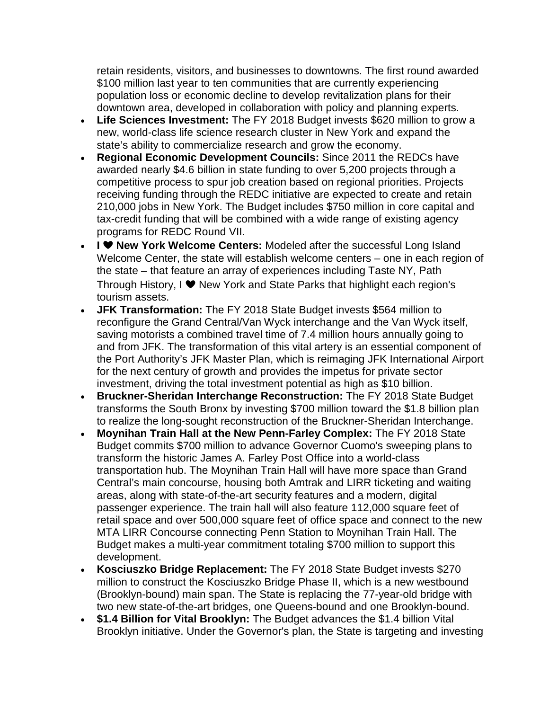retain residents, visitors, and businesses to downtowns. The first round awarded \$100 million last year to ten communities that are currently experiencing population loss or economic decline to develop revitalization plans for their downtown area, developed in collaboration with policy and planning experts.

- **Life Sciences Investment:** The FY 2018 Budget invests \$620 million to grow a new, world-class life science research cluster in New York and expand the state's ability to commercialize research and grow the economy.
- **Regional Economic Development Councils:** Since 2011 the REDCs have awarded nearly \$4.6 billion in state funding to over 5,200 projects through a competitive process to spur job creation based on regional priorities. Projects receiving funding through the REDC initiative are expected to create and retain 210,000 jobs in New York. The Budget includes \$750 million in core capital and tax-credit funding that will be combined with a wide range of existing agency programs for REDC Round VII.
- **New York Welcome Centers:** Modeled after the successful Long Island Welcome Center, the state will establish welcome centers – one in each region of the state – that feature an array of experiences including Taste NY, Path Through History, I ❤ New York and State Parks that highlight each region's tourism assets.
- **JFK Transformation:** The FY 2018 State Budget invests \$564 million to reconfigure the Grand Central/Van Wyck interchange and the Van Wyck itself, saving motorists a combined travel time of 7.4 million hours annually going to and from JFK. The transformation of this vital artery is an essential component of the Port Authority's JFK Master Plan, which is reimaging JFK International Airport for the next century of growth and provides the impetus for private sector investment, driving the total investment potential as high as \$10 billion.
- **Bruckner-Sheridan Interchange Reconstruction:** The FY 2018 State Budget transforms the South Bronx by investing \$700 million toward the \$1.8 billion plan to realize the long-sought reconstruction of the Bruckner-Sheridan Interchange.
- **Moynihan Train Hall at the New Penn-Farley Complex:** The FY 2018 State Budget commits \$700 million to advance Governor Cuomo's sweeping plans to transform the historic James A. Farley Post Office into a world-class transportation hub. The Moynihan Train Hall will have more space than Grand Central's main concourse, housing both Amtrak and LIRR ticketing and waiting areas, along with state-of-the-art security features and a modern, digital passenger experience. The train hall will also feature 112,000 square feet of retail space and over 500,000 square feet of office space and connect to the new MTA LIRR Concourse connecting Penn Station to Moynihan Train Hall. The Budget makes a multi-year commitment totaling \$700 million to support this development.
- **Kosciuszko Bridge Replacement:** The FY 2018 State Budget invests \$270 million to construct the Kosciuszko Bridge Phase II, which is a new westbound (Brooklyn-bound) main span. The State is replacing the 77-year-old bridge with two new state-of-the-art bridges, one Queens-bound and one Brooklyn-bound.
- **\$1.4 Billion for Vital Brooklyn:** The Budget advances the \$1.4 billion Vital Brooklyn initiative. Under the Governor's plan, the State is targeting and investing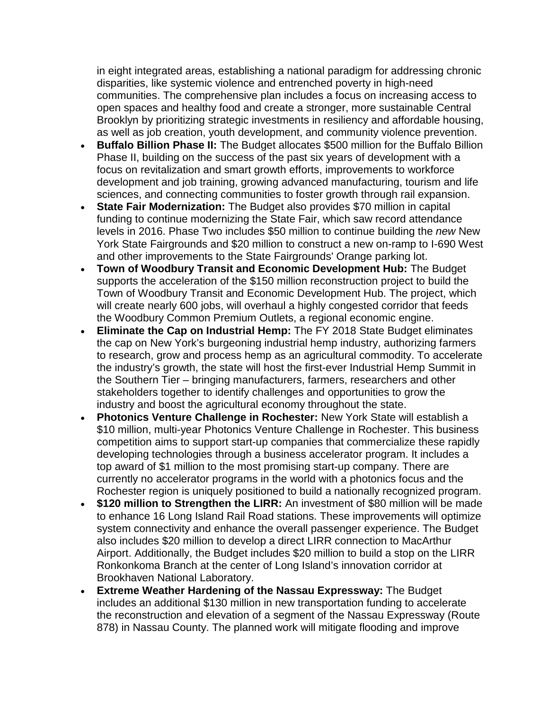in eight integrated areas, establishing a national paradigm for addressing chronic disparities, like systemic violence and entrenched poverty in high-need communities. The comprehensive plan includes a focus on increasing access to open spaces and healthy food and create a stronger, more sustainable Central Brooklyn by prioritizing strategic investments in resiliency and affordable housing, as well as job creation, youth development, and community violence prevention.

- **Buffalo Billion Phase II:** The Budget allocates \$500 million for the Buffalo Billion Phase II, building on the success of the past six years of development with a focus on revitalization and smart growth efforts, improvements to workforce development and job training, growing advanced manufacturing, tourism and life sciences, and connecting communities to foster growth through rail expansion.
- **State Fair Modernization:** The Budget also provides \$70 million in capital funding to continue modernizing the State Fair, which saw record attendance levels in 2016. Phase Two includes \$50 million to continue building the *new* New York State Fairgrounds and \$20 million to construct a new on-ramp to I-690 West and other improvements to the State Fairgrounds' Orange parking lot.
- **Town of Woodbury Transit and Economic Development Hub:** The Budget supports the acceleration of the \$150 million reconstruction project to build the Town of Woodbury Transit and Economic Development Hub. The project, which will create nearly 600 jobs, will overhaul a highly congested corridor that feeds the Woodbury Common Premium Outlets, a regional economic engine.
- **Eliminate the Cap on Industrial Hemp:** The FY 2018 State Budget eliminates the cap on New York's burgeoning industrial hemp industry, authorizing farmers to research, grow and process hemp as an agricultural commodity. To accelerate the industry's growth, the state will host the first-ever Industrial Hemp Summit in the Southern Tier – bringing manufacturers, farmers, researchers and other stakeholders together to identify challenges and opportunities to grow the industry and boost the agricultural economy throughout the state.
- **Photonics Venture Challenge in Rochester:** New York State will establish a \$10 million, multi-year Photonics Venture Challenge in Rochester. This business competition aims to support start-up companies that commercialize these rapidly developing technologies through a business accelerator program. It includes a top award of \$1 million to the most promising start-up company. There are currently no accelerator programs in the world with a photonics focus and the Rochester region is uniquely positioned to build a nationally recognized program.
- **\$120 million to Strengthen the LIRR:** An investment of \$80 million will be made to enhance 16 Long Island Rail Road stations. These improvements will optimize system connectivity and enhance the overall passenger experience. The Budget also includes \$20 million to develop a direct LIRR connection to MacArthur Airport. Additionally, the Budget includes \$20 million to build a stop on the LIRR Ronkonkoma Branch at the center of Long Island's innovation corridor at Brookhaven National Laboratory.
- **Extreme Weather Hardening of the Nassau Expressway:** The Budget includes an additional \$130 million in new transportation funding to accelerate the reconstruction and elevation of a segment of the Nassau Expressway (Route 878) in Nassau County. The planned work will mitigate flooding and improve